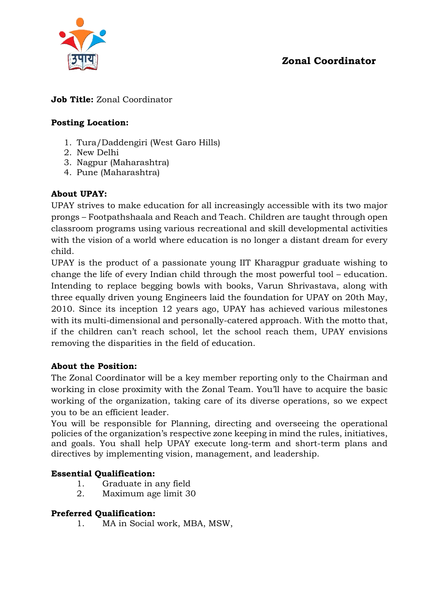



# **Job Title:** Zonal Coordinator

# **Posting Location:**

- 1. Tura/Daddengiri (West Garo Hills)
- 2. New Delhi
- 3. Nagpur (Maharashtra)
- 4. Pune (Maharashtra)

# **About UPAY:**

UPAY strives to make education for all increasingly accessible with its two major prongs – Footpathshaala and Reach and Teach. Children are taught through open classroom programs using various recreational and skill developmental activities with the vision of a world where education is no longer a distant dream for every child.

UPAY is the product of a passionate young IIT Kharagpur graduate wishing to change the life of every Indian child through the most powerful tool – education. Intending to replace begging bowls with books, Varun Shrivastava, along with three equally driven young Engineers laid the foundation for UPAY on 20th May, 2010. Since its inception 12 years ago, UPAY has achieved various milestones with its multi-dimensional and personally-catered approach. With the motto that, if the children can't reach school, let the school reach them, UPAY envisions removing the disparities in the field of education.

#### **About the Position:**

The Zonal Coordinator will be a key member reporting only to the Chairman and working in close proximity with the Zonal Team. You'll have to acquire the basic working of the organization, taking care of its diverse operations, so we expect you to be an efficient leader.

You will be responsible for Planning, directing and overseeing the operational policies of the organization's respective zone keeping in mind the rules, initiatives, and goals. You shall help UPAY execute long-term and short-term plans and directives by implementing vision, management, and leadership.

#### **Essential Qualification:**

- 1. Graduate in any field
- 2. Maximum age limit 30

#### **Preferred Qualification:**

1. MA in Social work, MBA, MSW,